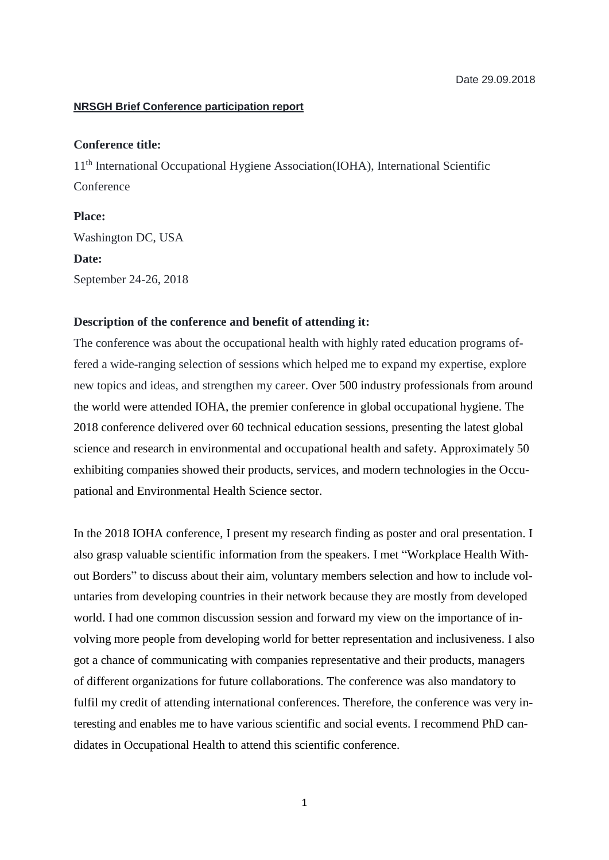## **NRSGH Brief Conference participation report**

## **Conference title:**

11th International Occupational Hygiene Association(IOHA), International Scientific Conference

**Place:** Washington DC, USA **Date:** September 24-26, 2018

## **Description of the conference and benefit of attending it:**

The conference was about the occupational health with highly rated education programs offered a wide-ranging selection of sessions which helped me to expand my expertise, explore new topics and ideas, and strengthen my career. Over 500 industry professionals from around the world were attended IOHA, the premier conference in global occupational hygiene. The 2018 conference delivered over 60 technical education sessions, presenting the latest global science and research in environmental and occupational health and safety. Approximately 50 exhibiting companies showed their products, services, and modern technologies in the Occupational and Environmental Health Science sector.

In the 2018 IOHA conference, I present my research finding as poster and oral presentation. I also grasp valuable scientific information from the speakers. I met "Workplace Health Without Borders" to discuss about their aim, voluntary members selection and how to include voluntaries from developing countries in their network because they are mostly from developed world. I had one common discussion session and forward my view on the importance of involving more people from developing world for better representation and inclusiveness. I also got a chance of communicating with companies representative and their products, managers of different organizations for future collaborations. The conference was also mandatory to fulfil my credit of attending international conferences. Therefore, the conference was very interesting and enables me to have various scientific and social events. I recommend PhD candidates in Occupational Health to attend this scientific conference.